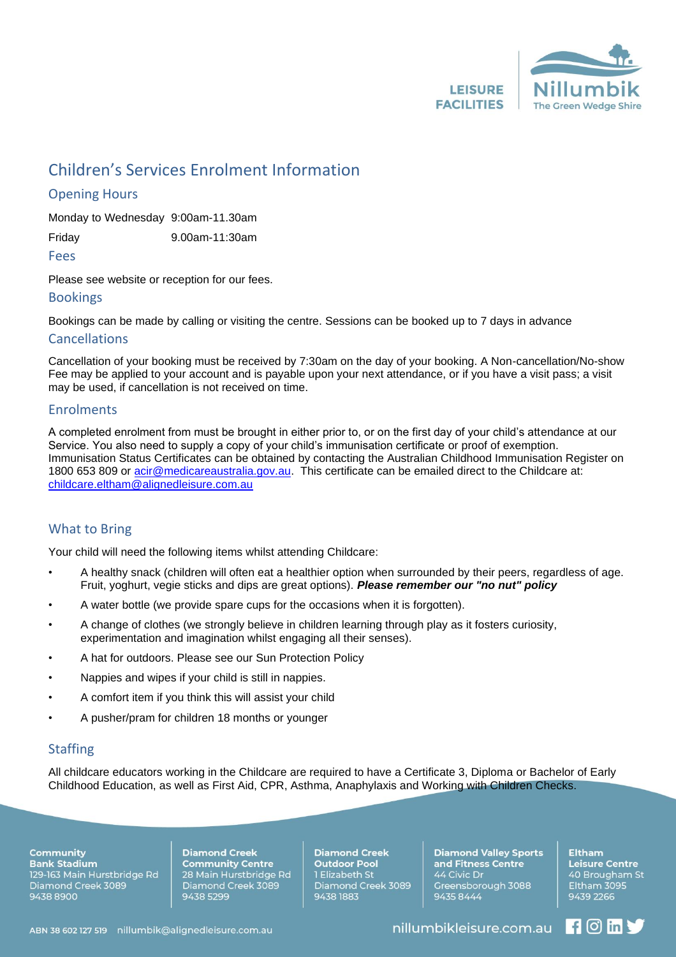

# Children's Services Enrolment Information

## Opening Hours

Monday to Wednesday 9:00am-11.30am

Friday 9.00am-11:30am

Fees

Please see website or reception for our fees.

#### Bookings

Bookings can be made by calling or visiting the centre. Sessions can be booked up to 7 days in advance

#### Cancellations

Cancellation of your booking must be received by 7:30am on the day of your booking. A Non-cancellation/No-show Fee may be applied to your account and is payable upon your next attendance, or if you have a visit pass; a visit may be used, if cancellation is not received on time.

#### Enrolments

A completed enrolment from must be brought in either prior to, or on the first day of your child's attendance at our Service. You also need to supply a copy of your child's immunisation certificate or proof of exemption. Immunisation Status Certificates can be obtained by contacting the Australian Childhood Immunisation Register on 1800 653 809 or [acir@medicareaustralia.gov.au.](mailto:acir@medicareaustralia.gov.au) This certificate can be emailed direct to the Childcare at: [childcare.eltham@alignedleisure.com.au](mailto:childcare.eltham@alignedleisure.com.au)

### What to Bring

Your child will need the following items whilst attending Childcare:

- A healthy snack (children will often eat a healthier option when surrounded by their peers, regardless of age. Fruit, yoghurt, vegie sticks and dips are great options). *Please remember our "no nut" policy*
- A water bottle (we provide spare cups for the occasions when it is forgotten).
- A change of clothes (we strongly believe in children learning through play as it fosters curiosity, experimentation and imagination whilst engaging all their senses).
- A hat for outdoors. Please see our Sun Protection Policy
- Nappies and wipes if your child is still in nappies.
- A comfort item if you think this will assist your child
- A pusher/pram for children 18 months or younger

# **Staffing**

All childcare educators working in the Childcare are required to have a Certificate 3, Diploma or Bachelor of Early Childhood Education, as well as First Aid, CPR, Asthma, Anaphylaxis and Working with Children Checks.

**Community Bank Stadium** 129-163 Main Hurstbridge Rd<br>Diamond Creek 3089 9438 8900

**Diamond Creek Community Centre** 28 Main Hurstbridge Rd Diamond Creek 3089 9438 5299

**Diamond Creek Outdoor Pool** 1 Elizabeth St Diamond Creek 3089 9438 1883

**Diamond Valley Sports** and Fitness Centre 44 Civic Dr Greensborough 3088 94358444

**Eltham Leisure Centre** 40 Brougham St Eltham 3095 9439 2266

 $\blacksquare$   $\blacksquare$   $\blacksquare$   $\blacksquare$ 

ABN 38 602 127 519 nillumbik@alignedleisure.com.au

nillumbikleisure.com.au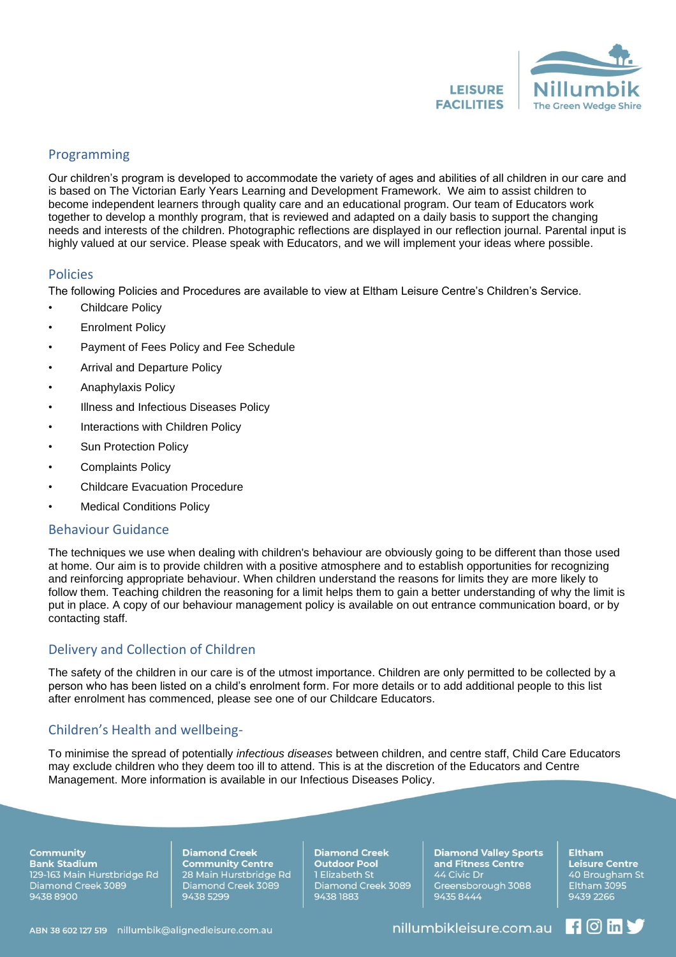

#### Programming

Our children's program is developed to accommodate the variety of ages and abilities of all children in our care and is based on The Victorian Early Years Learning and Development Framework. We aim to assist children to become independent learners through quality care and an educational program. Our team of Educators work together to develop a monthly program, that is reviewed and adapted on a daily basis to support the changing needs and interests of the children. Photographic reflections are displayed in our reflection journal. Parental input is highly valued at our service. Please speak with Educators, and we will implement your ideas where possible.

#### Policies

The following Policies and Procedures are available to view at Eltham Leisure Centre's Children's Service.

- Childcare Policy
- Enrolment Policy
- Payment of Fees Policy and Fee Schedule
- Arrival and Departure Policy
- Anaphylaxis Policy
- Illness and Infectious Diseases Policy
- Interactions with Children Policy
- Sun Protection Policy
- Complaints Policy
- Childcare Evacuation Procedure
- **Medical Conditions Policy**

#### Behaviour Guidance

The techniques we use when dealing with children's behaviour are obviously going to be different than those used at home. Our aim is to provide children with a positive atmosphere and to establish opportunities for recognizing and reinforcing appropriate behaviour. When children understand the reasons for limits they are more likely to follow them. Teaching children the reasoning for a limit helps them to gain a better understanding of why the limit is put in place. A copy of our behaviour management policy is available on out entrance communication board, or by contacting staff.

### Delivery and Collection of Children

The safety of the children in our care is of the utmost importance. Children are only permitted to be collected by a person who has been listed on a child's enrolment form. For more details or to add additional people to this list after enrolment has commenced, please see one of our Childcare Educators.

### Children's Health and wellbeing-

To minimise the spread of potentially *infectious diseases* between children, and centre staff, Child Care Educators may exclude children who they deem too ill to attend. This is at the discretion of the Educators and Centre Management. More information is available in our Infectious Diseases Policy.

#### **Community Bank Stadium**

129-163 Main Hurstbridge Rd<br>Diamond Creek 3089 9438 8900

**Diamond Creek Community Centre** 28 Main Hurstbridge Rd Diamond Creek 3089 9438 5299

**Diamond Creek Outdoor Pool** 1 Elizabeth St Diamond Creek 3089 9438 1883

**Diamond Valley Sports** and Fitness Centre 44 Civic Dr Greensborough 3088 94358444

**Leisure Centre** 40 Brougham St Eltham 3095 9439 2266

 $\blacksquare$   $\blacksquare$   $\blacksquare$   $\blacksquare$ 

**Eltham** 

nillumbikleisure.com.au